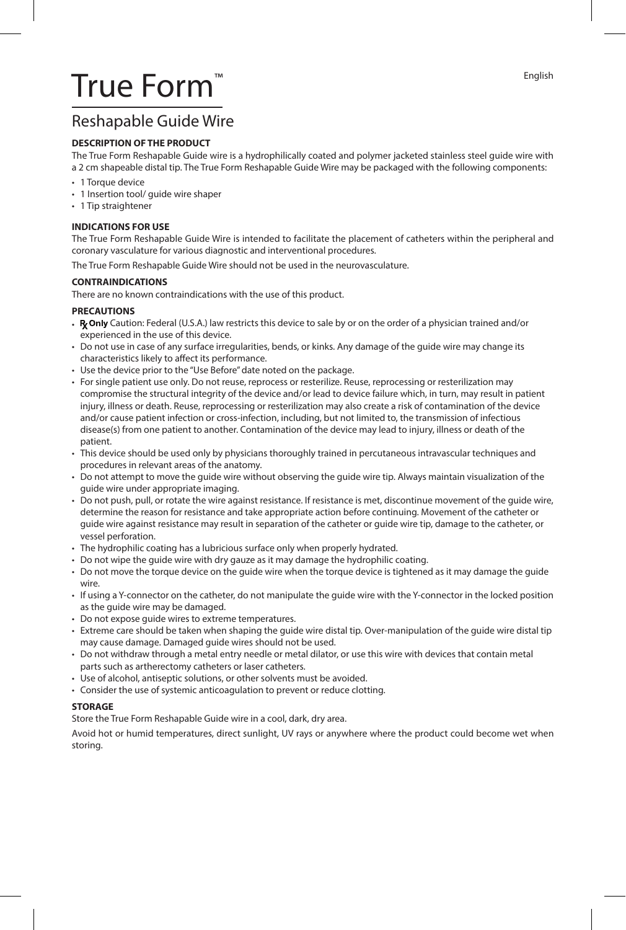English

# True Form™

### Reshapable Guide Wire

#### **DESCRIPTION OF THE PRODUCT**

The True Form Reshapable Guide wire is a hydrophilically coated and polymer jacketed stainless steel guide wire with a 2 cm shapeable distal tip. The True Form Reshapable Guide Wire may be packaged with the following components:

- 1 Torque device
- 1 Insertion tool/ guide wire shaper
- 1 Tip straightener

#### **INDICATIONS FOR USE**

The True Form Reshapable Guide Wire is intended to facilitate the placement of catheters within the peripheral and coronary vasculature for various diagnostic and interventional procedures.

The True Form Reshapable Guide Wire should not be used in the neurovasculature.

#### **CONTRAINDICATIONS**

There are no known contraindications with the use of this product.

#### **PRECAUTIONS**

- Ry Only Caution: Federal (U.S.A.) law restricts this device to sale by or on the order of a physician trained and/or experienced in the use of this device.
- Do not use in case of any surface irregularities, bends, or kinks. Any damage of the guide wire may change its characteristics likely to affect its performance.
- Use the device prior to the "Use Before" date noted on the package.
- For single patient use only. Do not reuse, reprocess or resterilize. Reuse, reprocessing or resterilization may compromise the structural integrity of the device and/or lead to device failure which, in turn, may result in patient injury, illness or death. Reuse, reprocessing or resterilization may also create a risk of contamination of the device and/or cause patient infection or cross-infection, including, but not limited to, the transmission of infectious disease(s) from one patient to another. Contamination of the device may lead to injury, illness or death of the patient.
- This device should be used only by physicians thoroughly trained in percutaneous intravascular techniques and procedures in relevant areas of the anatomy.
- Do not attempt to move the guide wire without observing the guide wire tip. Always maintain visualization of the guide wire under appropriate imaging.
- Do not push, pull, or rotate the wire against resistance. If resistance is met, discontinue movement of the guide wire, determine the reason for resistance and take appropriate action before continuing. Movement of the catheter or guide wire against resistance may result in separation of the catheter or guide wire tip, damage to the catheter, or vessel perforation.
- The hydrophilic coating has a lubricious surface only when properly hydrated.
- Do not wipe the guide wire with dry gauze as it may damage the hydrophilic coating.
- Do not move the torque device on the guide wire when the torque device is tightened as it may damage the guide wire.
- If using a Y-connector on the catheter, do not manipulate the guide wire with the Y-connector in the locked position as the guide wire may be damaged.
- Do not expose guide wires to extreme temperatures.
- Extreme care should be taken when shaping the guide wire distal tip. Over-manipulation of the guide wire distal tip may cause damage. Damaged guide wires should not be used.
- Do not withdraw through a metal entry needle or metal dilator, or use this wire with devices that contain metal parts such as artherectomy catheters or laser catheters.
- Use of alcohol, antiseptic solutions, or other solvents must be avoided.
- Consider the use of systemic anticoagulation to prevent or reduce clotting.

#### **STORAGE**

Store the True Form Reshapable Guide wire in a cool, dark, dry area.

Avoid hot or humid temperatures, direct sunlight, UV rays or anywhere where the product could become wet when storing.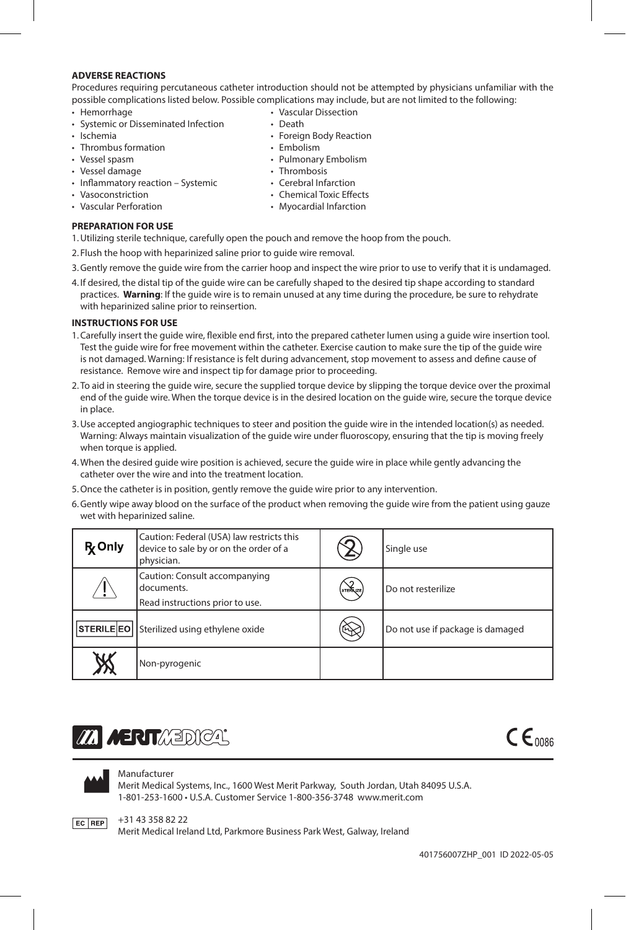#### **ADVERSE REACTIONS**

Procedures requiring percutaneous catheter introduction should not be attempted by physicians unfamiliar with the possible complications listed below. Possible complications may include, but are not limited to the following:

- Hemorrhage
- Systemic or Disseminated Infection
- Ischemia
- Thrombus formation
- Vessel spasm
- Vessel damage
- Inflammatory reaction Systemic
- Vasoconstriction
- Vascular Perforation
- Chemical Toxic Effects
- Myocardial Infarction

- **PREPARATION FOR USE**
- 1.Utilizing sterile technique, carefully open the pouch and remove the hoop from the pouch.
- 2. Flush the hoop with heparinized saline prior to guide wire removal.
- 3.Gently remove the guide wire from the carrier hoop and inspect the wire prior to use to verify that it is undamaged.
- 4. If desired, the distal tip of the guide wire can be carefully shaped to the desired tip shape according to standard practices. **Warning**: If the guide wire is to remain unused at any time during the procedure, be sure to rehydrate with heparinized saline prior to reinsertion.

#### **INSTRUCTIONS FOR USE**

- 1.Carefully insert the guide wire, flexible end first, into the prepared catheter lumen using a guide wire insertion tool. Test the guide wire for free movement within the catheter. Exercise caution to make sure the tip of the guide wire is not damaged. Warning: If resistance is felt during advancement, stop movement to assess and define cause of resistance. Remove wire and inspect tip for damage prior to proceeding.
- 2. To aid in steering the guide wire, secure the supplied torque device by slipping the torque device over the proximal end of the guide wire. When the torque device is in the desired location on the guide wire, secure the torque device in place.
- 3.Use accepted angiographic techniques to steer and position the guide wire in the intended location(s) as needed. Warning: Always maintain visualization of the guide wire under fluoroscopy, ensuring that the tip is moving freely when torque is applied.
- 4.When the desired guide wire position is achieved, secure the guide wire in place while gently advancing the catheter over the wire and into the treatment location.
- 5.Once the catheter is in position, gently remove the guide wire prior to any intervention.
- 6.Gently wipe away blood on the surface of the product when removing the guide wire from the patient using gauze wet with heparinized saline.

| <b>R</b> Only | Caution: Federal (USA) law restricts this<br>device to sale by or on the order of a<br>physician. |                  | Single use                       |
|---------------|---------------------------------------------------------------------------------------------------|------------------|----------------------------------|
|               | Caution: Consult accompanying<br>documents.<br>Read instructions prior to use.                    | <b>STERILIZE</b> | Do not resterilize               |
|               | STERILE EO   Sterilized using ethylene oxide                                                      |                  | Do not use if package is damaged |
|               | Non-pyrogenic                                                                                     |                  |                                  |

## **AERIT** AERICAL



#### Manufacturer

Merit Medical Systems, Inc., 1600 West Merit Parkway, South Jordan, Utah 84095 U.S.A. 1-801-253-1600 • U.S.A. Customer Service 1-800-356-3748 www.merit.com



+31 43 358 82 22

Merit Medical Ireland Ltd, Parkmore Business Park West, Galway, Ireland

- Vascular Dissection • Death
- Foreign Body Reaction
- 
- Embolism
- Pulmonary Embolism
- Thrombosis
- Cerebral Infarction
	- -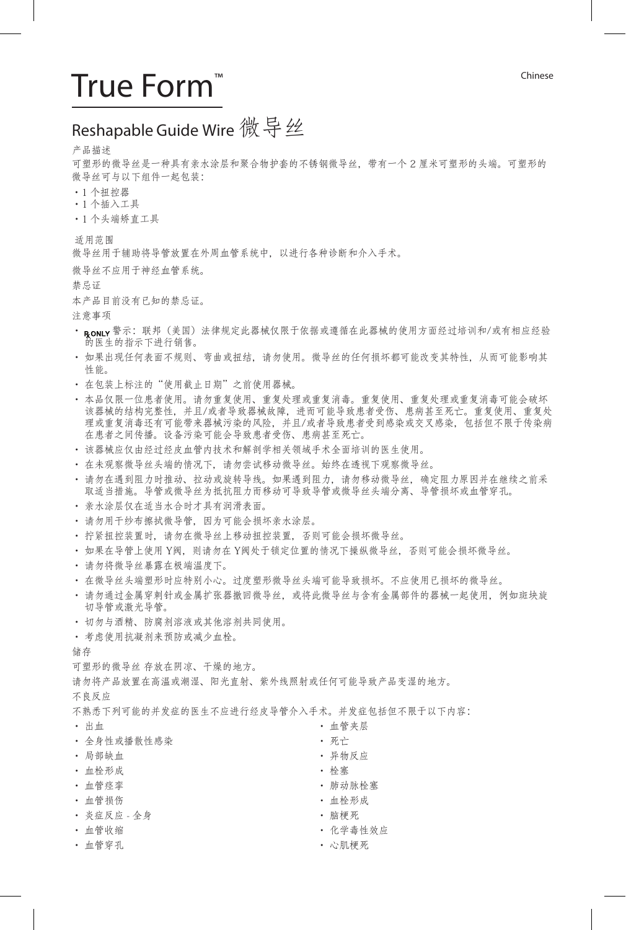## True Form™ and Chinese

## Reshapable Guide Wire 微 导 丝

#### 产品描述

可塑形的微导丝是一种具有亲水涂层和聚合物护套的不锈钢微导丝,带有一个 2 厘米可塑形的头端。可塑形的 微导丝可与以下组件一起包装:

- ·1 个扭控器
- •1 个插入工具
- •1 个头端矫直工具

适用范围

微导丝用于辅助将导管放置在外周血管系统中,以进行各种诊断和介入手术。

微导丝不应用于神经血管系统。

禁忌证

本产品目前没有已知的禁忌证。

注意事项

- · RONLY 警示: 联邦 (美国) 法律规定此器械仅限于依据或遵循在此器械的使用方面经过培训和/或有相应经验 的医生的指示下进行销售。
- 如果出现任何表面不规则、弯曲或扭结,请勿使用。微导丝的任何损坏都可能改变其特性,从而可能影响其 性能。
- 在包装上标注的"使用截止日期"之前使用器械。
- 本品仅限一位患者使用。请勿重复使用、重复处理或重复消毒。重复使用、重复处理或重复消毒可能会破坏 该器械的结构完整性,并且/或者导致器械故障,进而可能导致患者受伤、患病甚至死亡。重复使用、重复处 理或重复消毒还有可能带来器械污染的风险,并且/或者导致患者受到感染或交叉感染,包括但不限于传染病 在患者之间传播。设备污染可能会导致患者受伤、患病甚至死亡。
- 该器械应仅由经过经皮血管内技术和解剖学相关领域手术全面培训的医生使用。
- 在未观察微导丝头端的情况下,请勿尝试移动微导丝。始终在透视下观察微导丝。
- 请勿在遇到阻力时推动、拉动或旋转导线。如果遇到阻力,请勿移动微导丝,确定阻力原因并在继续之前采 取适当措施。导管或微导丝为抵抗阻力而移动可导致导管或微导丝头端分离、导管损坏或血管穿孔。
- 亲水涂层仅在适当水合时才具有润滑表面。
- 请勿用干纱布擦拭微导管,因为可能会损坏亲水涂层。
- 拧紧扭控装置时, 请勿在微导丝上移动扭控装置, 否则可能会损坏微导丝。
- 如果在导管上使用 Y阀, 则请勿在 Y阀处于锁定位置的情况下操纵微导丝, 否则可能会损坏微导丝。
- 请勿将微导丝暴露在极端温度下。
- 在微导丝头端塑形时应特别小心。过度塑形微导丝头端可能导致损坏。不应使用已损坏的微导丝。
- 请勿通过金属穿刺针或金属扩张器撤回微导丝,或将此微导丝与含有金属部件的器械一起使用,例如斑块旋 切导管或激光导管。
- 切勿与酒精、防腐剂溶液或其他溶剂共同使用。
- 考虑使用抗凝剂来预防或减少血栓。

储存

可塑形的微导丝 存放在阴凉、干燥的地方。

请勿将产品放置在高温或潮湿、阳光直射、紫外线照射或任何可能导致产品变湿的地方。

不良反应

不熟悉下列可能的并发症的医生不应进行经皮导管介入手术。并发症包括但不限于以下内容:

• 出血

- 全身性或播散性感染
- 局部缺血
- 血栓形成
- 血管痉挛
- 血管损伤
- 炎症反应 全身
- 血管收缩
- 血管穿孔
- 血管夹层 • 死亡 • 异物反应
- 栓塞
- 肺动脉栓塞
- 血栓形成
- 脑梗死
- 化学毒性效应
- 心肌梗死